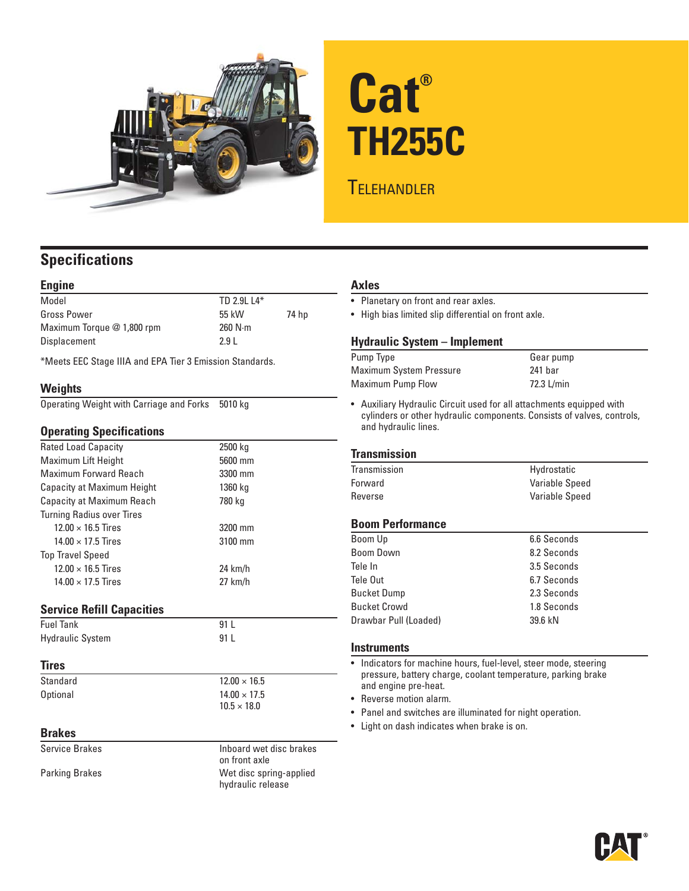

# **Cat® TH255C**

## **TELEHANDLER**

### **Specifications**

#### **Engine**

| Model                      | TD 2.9L L4*       |       |
|----------------------------|-------------------|-------|
| Gross Power                | 55 kW             | 74 hp |
| Maximum Torque @ 1,800 rpm | $260$ N $\cdot$ m |       |
| Displacement               | 2.9L              |       |

\*Meets EEC Stage IIIA and EPA Tier 3 Emission Standards.

#### **Weights**

|  | Operating Weight with Carriage and Forks 5010 kg |  |
|--|--------------------------------------------------|--|
|  |                                                  |  |

#### **Operating Specifications**

| Rated Load Capacity              | 2500 kg   |
|----------------------------------|-----------|
| Maximum Lift Height              | 5600 mm   |
| <b>Maximum Forward Reach</b>     | 3300 mm   |
| Capacity at Maximum Height       | 1360 kg   |
| Capacity at Maximum Reach        | 780 kg    |
| <b>Turning Radius over Tires</b> |           |
| $12.00 \times 16.5$ Tires        | 3200 mm   |
| $14.00 \times 17.5$ Tires        | 3100 mm   |
| <b>Top Travel Speed</b>          |           |
| $12.00 \times 16.5$ Tires        | $24$ km/h |
| $14.00 \times 17.5$ Tires        | $27$ km/h |
|                                  |           |
| Sarvica Rafill Canacitias        |           |

 $12.00 \times 16.5$  $14.00 \times 17.5$  $10.5 \times 18.0$ 

#### **e Keilli Capacities**

| <b>Fuel Tank</b>        | 91 L |
|-------------------------|------|
| <b>Hydraulic System</b> | 91 L |

#### **Tires**

| Standard |  |  |
|----------|--|--|
| Optional |  |  |
|          |  |  |

#### **Brakes**

Service Brakes **Inboard** wet disc brakes on front axle Parking Brakes **Marking Brakes Wet disc spring-applied** hydraulic release

#### **Axles**

• Planetary on front and rear axles.

• High bias limited slip differential on front axle.

#### **Hydraulic System – Implement**

| Pump Type               | Gear pump  |
|-------------------------|------------|
| Maximum System Pressure | 241 bar    |
| Maximum Pump Flow       | 72.3 L/min |

• Auxiliary Hydraulic Circuit used for all attachments equipped with cylinders or other hydraulic components. Consists of valves, controls, and hydraulic lines.

#### **Transmission**

| Transmission | Hydrostatic    |
|--------------|----------------|
| Forward      | Variable Speed |
| Reverse      | Variable Speed |

#### **Boom Performance**

| Boom Up               | 6.6 Seconds |
|-----------------------|-------------|
| <b>Boom Down</b>      | 8.2 Seconds |
| Tele In               | 3.5 Seconds |
| Tele Out              | 6.7 Seconds |
| <b>Bucket Dump</b>    | 2.3 Seconds |
| <b>Bucket Crowd</b>   | 1.8 Seconds |
| Drawbar Pull (Loaded) | 39.6 kN     |

#### **Instruments**

• Indicators for machine hours, fuel-level, steer mode, steering pressure, battery charge, coolant temperature, parking brake and engine pre-heat.

- Reverse motion alarm.
- Panel and switches are illuminated for night operation.
- Light on dash indicates when brake is on.